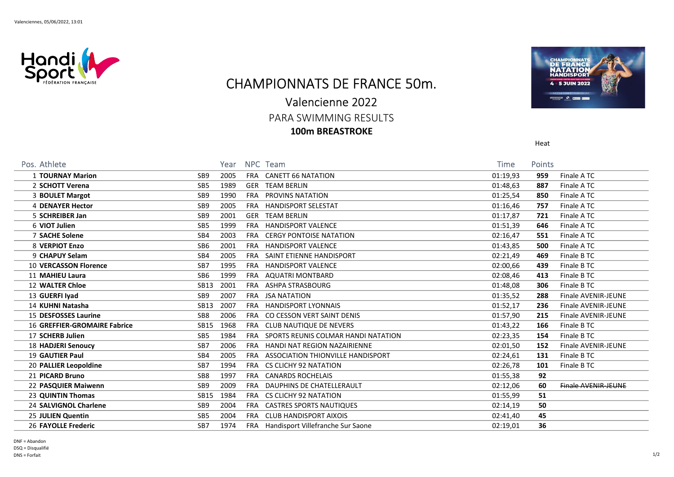

## CHAMPIONNATS DE FRANCE 50m.

## Valencienne 2022

PARA SWIMMING RESULTS

100m BREASTROKE



Heat

| Pos. Athlete                        |                 | Year |            | NPC Team                              | <b>Time</b> | Points |                            |
|-------------------------------------|-----------------|------|------------|---------------------------------------|-------------|--------|----------------------------|
| 1 TOURNAY Marion                    | SB <sub>9</sub> | 2005 |            | FRA CANETT 66 NATATION                | 01:19,93    | 959    | Finale ATC                 |
| 2 SCHOTT Verena                     | SB <sub>5</sub> | 1989 |            | <b>GER TEAM BERLIN</b>                | 01:48,63    | 887    | Finale ATC                 |
| 3 BOULET Margot                     | SB <sub>9</sub> | 1990 | FRA        | <b>PROVINS NATATION</b>               | 01:25,54    | 850    | Finale ATC                 |
| <b>4 DENAYER Hector</b>             | SB <sub>9</sub> | 2005 | FRA        | <b>HANDISPORT SELESTAT</b>            | 01:16,46    | 757    | Finale ATC                 |
| 5 SCHREIBER Jan                     | SB <sub>9</sub> | 2001 | GER        | <b>TEAM BERLIN</b>                    | 01:17,87    | 721    | Finale ATC                 |
| 6 VIOT Julien                       | SB <sub>5</sub> | 1999 | FRA        | <b>HANDISPORT VALENCE</b>             | 01:51,39    | 646    | Finale ATC                 |
| 7 SACHE Solene                      | SB4             | 2003 |            | FRA CERGY PONTOISE NATATION           | 02:16,47    | 551    | Finale ATC                 |
| 8 VERPIOT Enzo                      | SB <sub>6</sub> | 2001 | FRA        | <b>HANDISPORT VALENCE</b>             | 01:43,85    | 500    | Finale ATC                 |
| 9 CHAPUY Selam                      | SB4             | 2005 | FRA        | SAINT ETIENNE HANDISPORT              | 02:21,49    | 469    | Finale B TC                |
| <b>10 VERCASSON Florence</b>        | SB <sub>7</sub> | 1995 |            | FRA HANDISPORT VALENCE                | 02:00,66    | 439    | Finale B TC                |
| 11 MAHIEU Laura                     | SB <sub>6</sub> | 1999 |            | FRA AQUATRI MONTBARD                  | 02:08,46    | 413    | Finale B TC                |
| <b>12 WALTER Chloe</b>              | <b>SB13</b>     | 2001 |            | FRA ASHPA STRASBOURG                  | 01:48,08    | 306    | Finale B TC                |
| 13 GUERFI Iyad                      | SB <sub>9</sub> | 2007 |            | FRA JSA NATATION                      | 01:35,52    | 288    | Finale AVENIR-JEUNE        |
| 14 KUHNI Natasha                    | <b>SB13</b>     | 2007 |            | FRA HANDISPORT LYONNAIS               | 01:52,17    | 236    | Finale AVENIR-JEUNE        |
| 15 DESFOSSES Laurine                | SB <sub>8</sub> | 2006 |            | FRA CO CESSON VERT SAINT DENIS        | 01:57,90    | 215    | <b>Finale AVENIR-JEUNE</b> |
| <b>16 GREFFIER-GROMAIRE Fabrice</b> | <b>SB15</b>     | 1968 |            | FRA CLUB NAUTIQUE DE NEVERS           | 01:43,22    | 166    | Finale B TC                |
| 17 SCHERB Julien                    | SB <sub>5</sub> | 1984 | FRA        | SPORTS REUNIS COLMAR HANDI NATATION   | 02:23,35    | 154    | Finale B TC                |
| <b>18 HADJERI Senoucy</b>           | SB7             | 2006 |            | FRA HANDI NAT REGION NAZAIRIENNE      | 02:01,50    | 152    | Finale AVENIR-JEUNE        |
| 19 GAUTIER Paul                     | SB4             | 2005 | FRA        | ASSOCIATION THIONVILLE HANDISPORT     | 02:24,61    | 131    | Finale B TC                |
| 20 PALLIER Leopoldine               | SB7             | 1994 |            | FRA CS CLICHY 92 NATATION             | 02:26,78    | 101    | Finale B TC                |
| 21 PICARD Bruno                     | SB <sub>8</sub> | 1997 | <b>FRA</b> | <b>CANARDS ROCHELAIS</b>              | 01:55,38    | 92     |                            |
| 22 PASQUIER Maiwenn                 | SB <sub>9</sub> | 2009 | FRA        | DAUPHINS DE CHATELLERAULT             | 02:12,06    | 60     | <b>Finale AVENIR-JEUNE</b> |
| 23 QUINTIN Thomas                   | <b>SB15</b>     | 1984 |            | FRA CS CLICHY 92 NATATION             | 01:55,99    | 51     |                            |
| 24 SALVIGNOL Charlene               | SB <sub>9</sub> | 2004 | FRA        | <b>CASTRES SPORTS NAUTIQUES</b>       | 02:14,19    | 50     |                            |
| 25 JULIEN Quentin                   | SB <sub>5</sub> | 2004 |            | FRA CLUB HANDISPORT AIXOIS            | 02:41,40    | 45     |                            |
| 26 FAYOLLE Frederic                 | SB7             | 1974 |            | FRA Handisport Villefranche Sur Saone | 02:19,01    | 36     |                            |